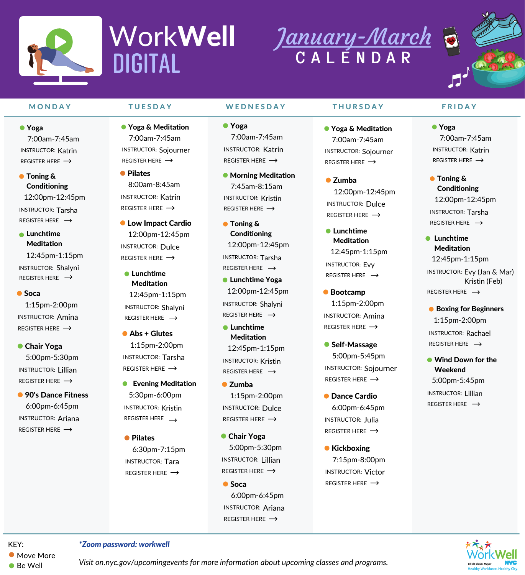5:00pm-5:30pm INSTRUCTOR: Lillian [REGISTER](https://us02web.zoom.us/meeting/register/tZwufuqorD8pHtV7KWYocXI_3_18iMfvxbt9) HERE  $\rightarrow$ 

● 90's Dance Fitness

12:45pm-1:15pm INSTRUCTOR: Shalyni [REGISTER](https://us02web.zoom.us/meeting/register/tZckcemoqzwrHtKOCTYqR-o-E2-X5LbkKAEX) HERE  $\rightarrow$ 



- INSTRUCTOR: Dulce [REGISTER](https://us02web.zoom.us/meeting/register/tZIocOyhrjgrHdwTDsBRW6RzFzZlC-0k_Ym_) HERE  $\rightarrow$ **C**Lunchtime Meditation 12:45pm-1:15pm
	- INSTRUCTOR: Shalyni

- Evening Meditation 5:30pm-6:00pm INSTRUCTOR: Kristin [REGISTER](https://us02web.zoom.us/meeting/register/tZ0pfuqvqT8iGdfDG4uiKVneGeqICfBYsOs3) HERE  $\rightarrow$
- **Pilates**

#### **Soca** 1:15pm-2:00pm

INSTRUCTOR: Amina [REGISTER](https://us02web.zoom.us/meeting/register/tZEldeGhpjkpGtUtb1n9599jIuLIop_Qhfmc) HERE  $\rightarrow$ 

**Chair Yoga** 

1:15pm-2:00pm INSTRUCTOR: Tarsha [REGISTER](https://us02web.zoom.us/meeting/register/tZAtdeGgrDoiHtIK8rwFKEL5druqLK9qaLse) HERE  $\rightarrow$ 

6:00pm-6:45pm INSTRUCTOR: Ariana [REGISTER](https://us02web.zoom.us/meeting/register/tZEqceqvqjgqGdMNHC5TdSlRSpBefipvHUY9) HERE  $\rightarrow$ 

[REGISTER](https://us02web.zoom.us/meeting/register/tZckcemoqzwrHtKOCTYqR-o-E2-X5LbkKAEX) HERE  $\rightarrow$ 

6:30pm-7:15pm INSTRUCTOR: Tara [REGISTER](https://us02web.zoom.us/meeting/register/tZwpf--uqTwqH9JCewaSbt3rcHzSpaDVCorw) HERE  $\rightarrow$ 

[REGISTER](https://us02web.zoom.us/meeting/register/tZItd-mqrzItHdXy-RQ94ht08pdSujALT0B9) HERE  $\rightarrow$ 

- **Lunchtime** Meditation 12:45pm-1:15pm INSTRUCTOR: Kristin [REGISTER](https://us02web.zoom.us/meeting/register/tZckcemoqzwrHtKOCTYqR-o-E2-X5LbkKAEX) HERE  $\rightarrow$
- Zumba 1:15pm-2:00pm INSTRUCTOR: Dulce [REGISTER](https://us02web.zoom.us/meeting/register/tZIqdeCsqzksHtw72gCJquM1tQhBhh2ceIPf) HERE  $\rightarrow$
- **Chair Yoga** 5:00pm-5:30pm INSTRUCTOR: Lillian [REGISTER](https://us02web.zoom.us/meeting/register/tZwufuqorD8pHtV7KWYocXI_3_18iMfvxbt9) HERE  $\rightarrow$

12:45pm-1:15pm

**Soca** 6:00pm-6:45pm INSTRUCTOR: Ariana [REGISTER](https://us02web.zoom.us/meeting/register/tZctd-2vqDMvGNBYxOTFIT4sgN2pw8LqYsBp) HERE  $\rightarrow$ 

INSTRUCTOR: Evy

[REGISTER](https://us02web.zoom.us/meeting/register/tZckcemoqzwrHtKOCTYqR-o-E2-X5LbkKAEX) HERE  $\rightarrow$ 

● Bootcamp

- **Self-Massage** 5:00pm-5:45pm INSTRUCTOR: Sojourner [REGISTER](https://us02web.zoom.us/meeting/register/tZYpf--orjotE9UciIifnZL1VEq3PStMnEj6) HERE  $\rightarrow$
- **O** Dance Cardio 6:00pm-6:45pm INSTRUCTOR: Julia [REGISTER](https://us02web.zoom.us/meeting/register/tZAld-GhpjsvGN1QtEUNMhEjM3F6kyXfLLLb) HERE  $\rightarrow$
- **Kickboxing** 7:15pm-8:00pm INSTRUCTOR: Victor[REGISTER](https://us02web.zoom.us/meeting/register/tZ0tdeCgqj4vE9y3PzdQ0P8G_klbGEi4xvF6) HERE  $\rightarrow$

**• Boxing for Beginners** 1:15pm-2:00pm Abs + Glutes **Examples** Meditation **Meditation Abs Example 26** INSTRUCTOR: Rachael [REGISTER](https://us02web.zoom.us/meeting/register/tZcqdO-hpz0pHN24Ei9dCESKTyn8dCuf4nJA) HERE  $\rightarrow$ 

INSTRUCTOR: Amina [REGISTER](https://us02web.zoom.us/meeting/register/tZYocuiopjssGtZih2f-ivd5lDIEQiRmT5oc) HERE  $\rightarrow$ 

| MONDAY                                                                                                           | <b>TUESDAY</b>                                                                                                       | WEDNESDAY                                                                                                                    | <b>THURSDAY</b>                                                                               | <b>FRIDAY</b>                                                                                                             |
|------------------------------------------------------------------------------------------------------------------|----------------------------------------------------------------------------------------------------------------------|------------------------------------------------------------------------------------------------------------------------------|-----------------------------------------------------------------------------------------------|---------------------------------------------------------------------------------------------------------------------------|
| ● Yoga                                                                                                           | ● Yoga & Meditation                                                                                                  | ● Yoga                                                                                                                       | ● Yoga & Meditation                                                                           | $\bullet$ Yoga                                                                                                            |
| 7:00am-7:45am                                                                                                    | 7:00am-7:45am                                                                                                        | 7:00am-7:45am                                                                                                                | 7:00am-7:45am                                                                                 | 7:00am-7:45am                                                                                                             |
| <b>INSTRUCTOR: Katrin</b>                                                                                        | <b>INSTRUCTOR: Sojourner</b>                                                                                         | <b>INSTRUCTOR: Katrin</b>                                                                                                    | <b>INSTRUCTOR: Sojourner</b>                                                                  | <b>INSTRUCTOR: Katrin</b>                                                                                                 |
| REGISTER HERE $\rightarrow$                                                                                      | REGISTER HERE $\rightarrow$                                                                                          | REGISTER HERE $\rightarrow$                                                                                                  | REGISTER HERE $\rightarrow$                                                                   | REGISTER HERE $\rightarrow$                                                                                               |
| • Toning &<br><b>Conditioning</b><br>12:00pm-12:45pm<br><b>INSTRUCTOR: Tarsha</b><br>REGISTER HERE $\rightarrow$ | • Pilates<br>8:00am-8:45am<br><b>INSTRUCTOR: Katrin</b><br>REGISTER HERE $\rightarrow$<br><b>C</b> Low Impact Cardio | • Morning Meditation<br>$7:45$ am-8:15am<br><b>INSTRUCTOR: Kristin</b><br>REGISTER HERE $\rightarrow$<br><b>Toning &amp;</b> | $\bullet$ Zumba<br>12:00pm-12:45pm<br><b>INSTRUCTOR: Dulce</b><br>REGISTER HERE $\rightarrow$ | <b>Toning &amp;</b><br><b>Conditioning</b><br>12:00pm-12:45pm<br><b>INSTRUCTOR: Tarsha</b><br>REGISTER HERE $\rightarrow$ |
| • Lunchtime                                                                                                      | 12:00pm-12:45pm                                                                                                      | <b>Conditioning</b>                                                                                                          | <b>C</b> Lunchtime                                                                            | Lunchtime                                                                                                                 |
| <b>Meditation</b>                                                                                                | INICTIONI                                                                                                            | $12:00$ nm-12:45nm                                                                                                           | <b>Meditation</b>                                                                             | .                                                                                                                         |

# January-March **C A L E N D A R**



*Visit [on.nyc.gov/upcomingevents](http://on.nyc.gov/upcomingevents) for more information about upcoming classes and programs.*





# WorkWell DIGITAL

*\*Zoom password: workwell*

**• Move More** 

● Be Well

12:00pm-12:45pm

INSTRUCTOR: Tarsha

**C** Lunchtime Yoga

12:00pm-12:45pm

[REGISTER](https://us02web.zoom.us/meeting/register/tZUufuyprT4oGNI5N_3jaL-6O5ZSLSCVMMEE) HERE  $\rightarrow$ 

INSTRUCTOR: Shalyni

1:15pm-2:00pm

Meditation

[REGISTER](https://us02web.zoom.us/meeting/register/tZckcemoqzwrHtKOCTYqR-o-E2-X5LbkKAEX) HERE  $\rightarrow$ 

12:45pm-1:15pm

INSTRUCTOR: Evy (Jan & Mar)

Kristin (Feb)

**• Wind Down for the** Weekend 5:00pm-5:45pm INSTRUCTOR: Lillian [REGISTER](https://us02web.zoom.us/meeting/register/tZctd--qqjIuGdIZfiDToLN9DBtBFCNeQX9i) HERE  $\rightarrow$